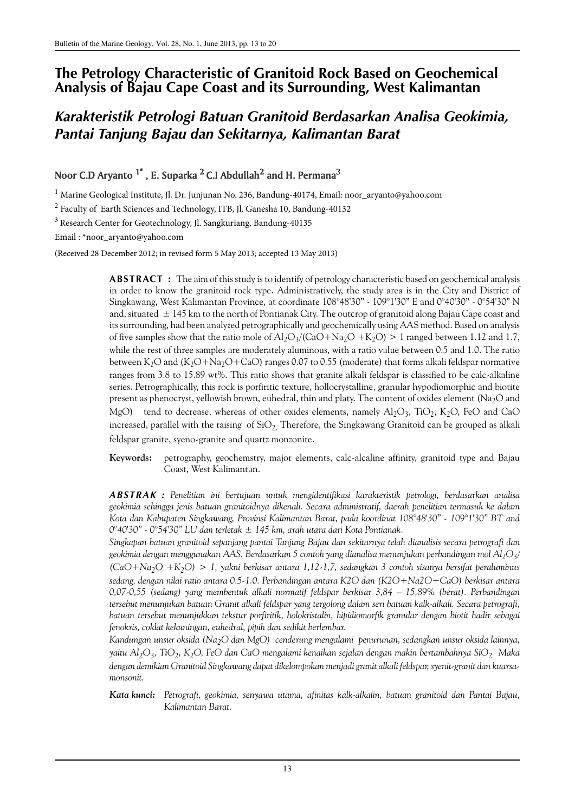# **The Petrology Characteristic of Granitoid Rock Based on Geochemical Analysis of Bajau Cape Coast and its Surrounding, West Kalimantan**

# *Karakteristik Petrologi Batuan Granitoid Berdasarkan Analisa Geokimia, Pantai Tanjung Bajau dan Sekitarnya, Kalimantan Barat*

# Noor C.D Aryanto  $^{1^*}$  , E. Suparka  $^2$  C.I Abdullah $^2$  and H. Permana $^3$

<sup>1</sup> Marine Geological Institute, Jl. Dr. Junjunan No. 236, Bandung-40174, Email: noor\_aryanto@yahoo.com

<sup>2</sup> Faculty of Earth Sciences and Technology, ITB, Jl. Ganesha 10, Bandung-40132

<sup>3</sup>Research Center for Geotechnology, Jl. Sangkuriang, Bandung-40135

Email : \*noor\_aryanto@yahoo.com

(Received 28 December 2012; in revised form 5 May 2013; accepted 13 May 2013)

**ABSTRACT :** The aim of this study is to identify of petrology characteristic based on geochemical analysis in order to know the granitoid rock type. Administratively, the study area is in the City and District of Singkawang, West Kalimantan Province, at coordinate 108°48'30" - 109°1'30" E and 0°40'30" - 0°54'30" N and, situated  $\pm$  145 km to the north of Pontianak City. The outcrop of granitoid along Bajau Cape coast and its surrounding, had been analyzed petrographically and geochemically using AAS method. Based on analysis of five samples show that the ratio mole of  $Al_2O_3/(CaO + Na_2O + K_2O) > 1$  ranged between 1.12 and 1.7, while the rest of three samples are moderately aluminous, with a ratio value between 0.5 and 1.0. The ratio between K<sub>2</sub>O and (K<sub>2</sub>O+Na<sub>2</sub>O+CaO) ranges 0.07 to 0.55 (moderate) that forms alkali feldspar normative ranges from 3.8 to 15.89 wt%. This ratio shows that granite alkali feldspar is classified to be calc-alkaline series. Petrographically, this rock is porfiritic texture, hollocrystalline, granular hypodiomorphic and biotite present as phenocryst, yellowish brown, euhedral, thin and platy. The content of oxides element (Na<sub>2</sub>O and MgO) tend to decrease, whereas of other oxides elements, namely  $\text{Al}_2\text{O}_3$ , TiO<sub>2</sub>, K<sub>2</sub>O, FeO and CaO increased, parallel with the raising of  $SiO<sub>2</sub>$ . Therefore, the Singkawang Granitoid can be grouped as alkali feldspar granite, syeno-granite and quartz monzonite.

**Keywords:** petrography, geochemstry, major elements, calc-alcaline affinity, granitoid type and Bajau Coast, West Kalimantan.

*ABSTRAK : Penelitian ini bertujuan untuk mengidentifikasi karakteristik petrologi, berdasarkan analisa geokimia sehingga jenis batuan granitoidnya dikenali. Secara administratif, daerah penelitian termasuk ke dalam Kota dan Kabupaten Singkawang, Provinsi Kalimantan Barat, pada koordinat 108°48'30" - 109°1'30" BT and 0°40'30" - 0°54'30" LU dan terletak ± 145 km, arah utara dari Kota Pontianak.* 

*Singkapan batuan granitoid sepanjang pantai Tanjung Bajau dan sekitarnya telah dianalisis secara petrografi dan geokimia dengan menggunakan AAS. Berdasarkan 5 contoh yang dianalisa menunjukan perbandingan mol Al2O<sup>3</sup> / (CaO+Na2O +K2O) > 1, yakni berkisar antara 1,12-1,7, sedangkan 3 contoh sisanya bersifat peraluminus sedang, dengan nilai ratio antara 0.5-1.0. Perbandingan antara K2O dan (K2O+Na2O+CaO) berkisar antara 0,07-0,55 (sedang) yang membentuk alkali normatif feldspar berkisar 3,84 – 15,89% (berat). Perbandingan tersebut menunjukan batuan Granit alkali feldspar yang tergolong dalam seri batuan kalk-alkali. Secara petrografi, batuan tersebut menunjukkan tekstur porfiritik, holokristalin, hipidiomorfik granular dengan biotit hadir sebagai fenokris, coklat kekuningan, euhedral, pipih dan sedikit berlembar.* 

*Kandungan unsur oksida (Na2O dan MgO) cenderung mengalami penurunan, sedangkan unsur oksida lainnya, yaitu Al2O<sup>3</sup> , TiO<sup>2</sup> , K2O, FeO dan CaO mengalami kenaikan sejalan dengan makin bertambahnya SiO2. Maka dengan demikian Granitoid Singkawang dapat dikelompokan menjadi granit alkali feldspar, syenit-granit dan kuarsamonsonit.*

*Kata kunci: Petrografi, geokimia, senyawa utama, afinitas kalk-alkalin, batuan granitoid dan Pantai Bajau, Kalimantan Barat.*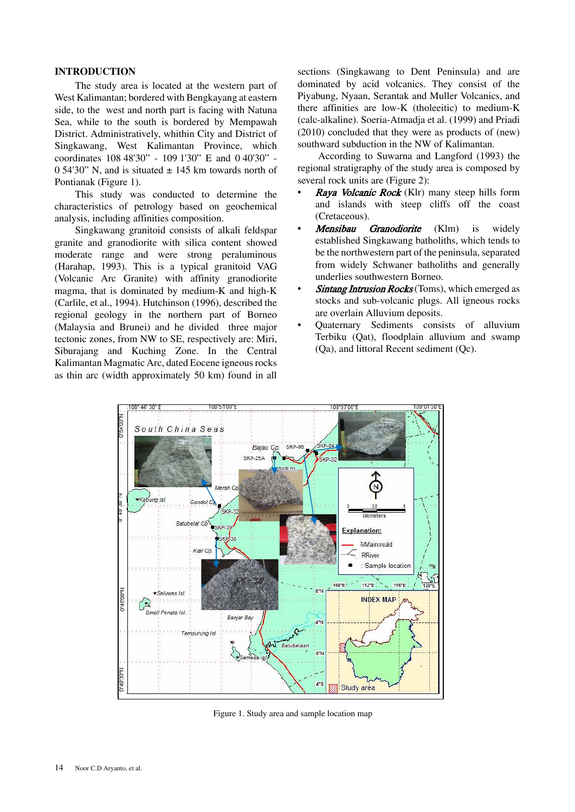# **INTRODUCTION**

The study area is located at the western part of West Kalimantan; bordered with Bengkayang at eastern side, to the west and north part is facing with Natuna Sea, while to the south is bordered by Mempawah District. Administratively, whithin City and District of Singkawang, West Kalimantan Province, which coordinates 108 48'30" - 109 1'30" E and 0 40'30" -0.54'30" N, and is situated  $\pm$  145 km towards north of Pontianak (Figure 1).

This study was conducted to determine the characteristics of petrology based on geochemical analysis, including affinities composition.

Singkawang granitoid consists of alkali feldspar granite and granodiorite with silica content showed moderate range and were strong peraluminous (Harahap, 1993). This is a typical granitoid VAG (Volcanic Arc Granite) with affinity granodiorite magma, that is dominated by medium-K and high-K (Carlile, et al., 1994). Hutchinson (1996), described the regional geology in the northern part of Borneo (Malaysia and Brunei) and he divided three major tectonic zones, from NW to SE, respectively are: Miri, Siburajang and Kuching Zone. In the Central Kalimantan Magmatic Arc, dated Eocene igneous rocks as thin arc (width approximately 50 km) found in all

sections (Singkawang to Dent Peninsula) and are dominated by acid volcanics. They consist of the Piyabung, Nyaan, Serantak and Muller Volcanics, and there affinities are low-K (tholeeitic) to medium-K (calc-alkaline). Soeria-Atmadja et al. (1999) and Priadi (2010) concluded that they were as products of (new) southward subduction in the NW of Kalimantan.

According to Suwarna and Langford (1993) the regional stratigraphy of the study area is composed by several rock units are (Figure 2):

- **Raya Volcanic Rock** (Klr) many steep hills form and islands with steep cliffs off the coast (Cretaceous).
- Mensibau Granodiorite (Klm) is widely established Singkawang batholiths, which tends to be the northwestern part of the peninsula, separated from widely Schwaner batholiths and generally underlies southwestern Borneo.
- Sintang Intrusion Rocks (Toms), which emerged as stocks and sub-volcanic plugs. All igneous rocks are overlain Alluvium deposits.
- ï Quaternary Sediments consists of alluvium Terbiku (Qat), floodplain alluvium and swamp (Qa), and littoral Recent sediment (Qc).



Figure 1. Study area and sample location map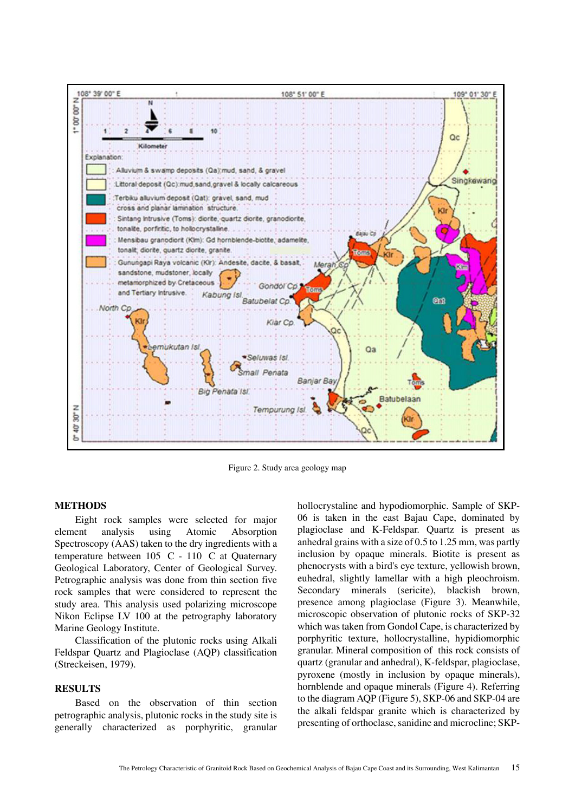

Figure 2. Study area geology map

### **METHODS**

Eight rock samples were selected for major element analysis using Atomic Absorption Spectroscopy (AAS) taken to the dry ingredients with a temperature between 105 C - 110 C at Quaternary Geological Laboratory, Center of Geological Survey. Petrographic analysis was done from thin section five rock samples that were considered to represent the study area. This analysis used polarizing microscope Nikon Eclipse LV 100 at the petrography laboratory Marine Geology Institute.

Classification of the plutonic rocks using Alkali Feldspar Quartz and Plagioclase (AQP) classification (Streckeisen, 1979).

# **RESULTS**

Based on the observation of thin section petrographic analysis, plutonic rocks in the study site is generally characterized as porphyritic, granular hollocrystaline and hypodiomorphic. Sample of SKP-06 is taken in the east Bajau Cape, dominated by plagioclase and K-Feldspar. Quartz is present as anhedral grains with a size of 0.5 to 1.25 mm, was partly inclusion by opaque minerals. Biotite is present as phenocrysts with a bird's eye texture, yellowish brown, euhedral, slightly lamellar with a high pleochroism. Secondary minerals (sericite), blackish brown, presence among plagioclase (Figure 3). Meanwhile, microscopic observation of plutonic rocks of SKP-32 which was taken from Gondol Cape, is characterized by porphyritic texture, hollocrystalline, hypidiomorphic granular. Mineral composition of this rock consists of quartz (granular and anhedral), K-feldspar, plagioclase, pyroxene (mostly in inclusion by opaque minerals), hornblende and opaque minerals (Figure 4). Referring to the diagram AQP (Figure 5), SKP-06 and SKP-04 are the alkali feldspar granite which is characterized by presenting of orthoclase, sanidine and microcline; SKP-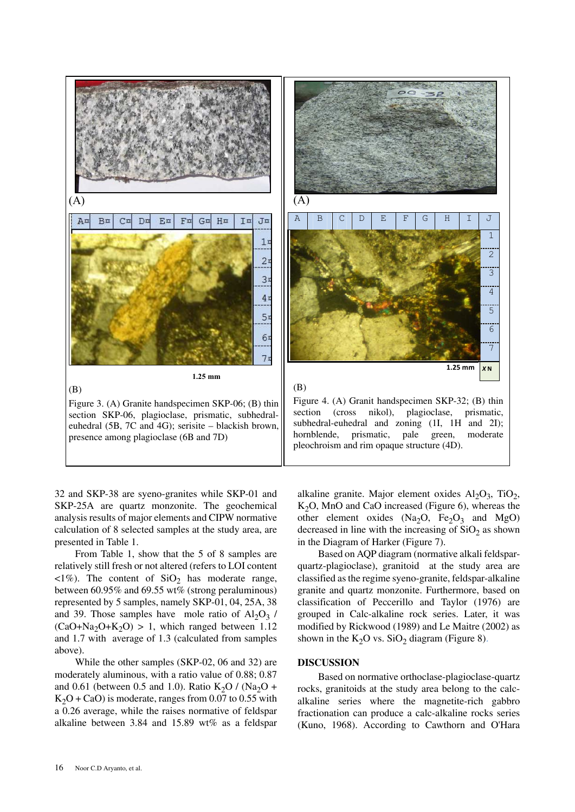

32 and SKP-38 are syeno-granites while SKP-01 and SKP-25A are quartz monzonite. The geochemical analysis results of major elements and CIPW normative calculation of 8 selected samples at the study area, are presented in Table 1.

From Table 1, show that the 5 of 8 samples are relatively still fresh or not altered (refers to LOI content  $\langle 1\% \rangle$ . The content of SiO<sub>2</sub> has moderate range, between 60.95% and 69.55 wt% (strong peraluminous) represented by 5 samples, namely SKP-01, 04, 25A, 38 and 39. Those samples have mole ratio of  $Al_2O_3$  /  $(CaO+Na<sub>2</sub>O+K<sub>2</sub>O) > 1$ , which ranged between 1.12 and 1.7 with average of 1.3 (calculated from samples above).

While the other samples (SKP-02, 06 and 32) are moderately aluminous, with a ratio value of 0.88; 0.87 and 0.61 (between 0.5 and 1.0). Ratio  $K_2O / (Na_2O +$  $K<sub>2</sub>O + CaO$ ) is moderate, ranges from 0.07 to 0.55 with a 0.26 average, while the raises normative of feldspar alkaline between 3.84 and 15.89 wt% as a feldspar

alkaline granite. Major element oxides  $\text{Al}_2\text{O}_3$ , TiO<sub>2</sub>,  $K<sub>2</sub>O$ , MnO and CaO increased (Figure 6), whereas the other element oxides  $(Na_2O, Fe_2O_3$  and MgO) decreased in line with the increasing of  $SiO<sub>2</sub>$  as shown in the Diagram of Harker (Figure 7).

Based on AQP diagram (normative alkali feldsparquartz-plagioclase), granitoid at the study area are classified as the regime syeno-granite, feldspar-alkaline granite and quartz monzonite. Furthermore, based on classification of Peccerillo and Taylor (1976) are grouped in Calc-alkaline rock series. Later, it was modified by Rickwood (1989) and Le Maitre (2002) as shown in the  $K_2O$  vs.  $SiO_2$  diagram (Figure 8).

## **DISCUSSION**

Based on normative orthoclase-plagioclase-quartz rocks, granitoids at the study area belong to the calcalkaline series where the magnetite-rich gabbro fractionation can produce a calc-alkaline rocks series (Kuno, 1968). According to Cawthorn and O'Hara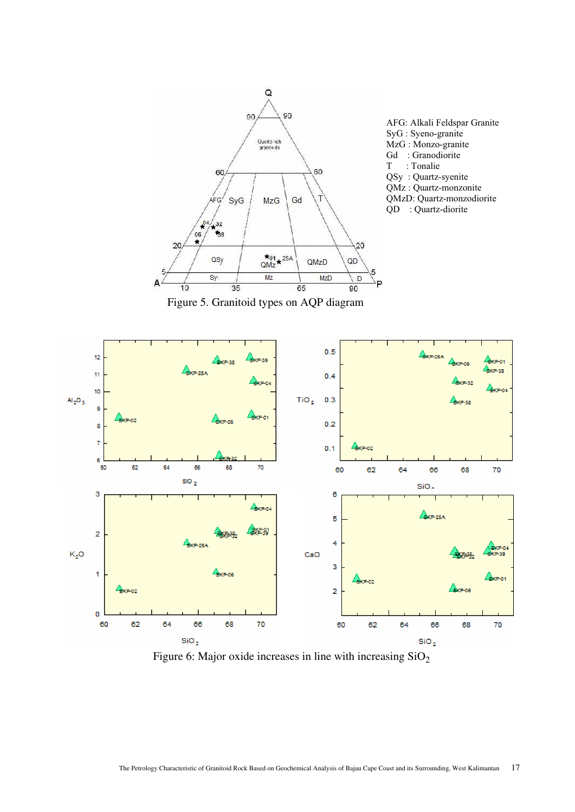

Figure 6: Major oxide increases in line with increasing  $SiO<sub>2</sub>$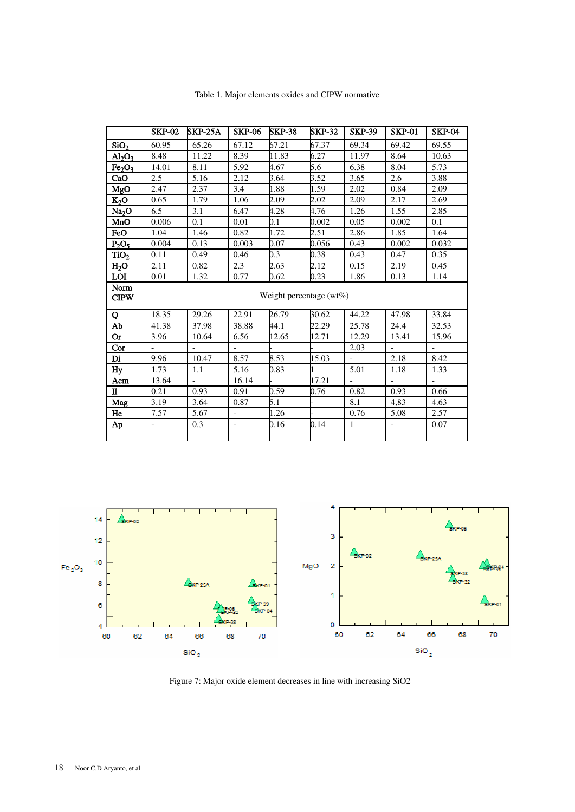|                                | <b>SKP-02</b>                | <b>SKP-25A</b> | <b>SKP-06</b>            | <b>SKP-38</b> | <b>SKP-32</b> | <b>SKP-39</b>     | <b>SKP-01</b> | <b>SKP-04</b> |
|--------------------------------|------------------------------|----------------|--------------------------|---------------|---------------|-------------------|---------------|---------------|
| SiO <sub>2</sub>               | 60.95                        | 65.26          | 67.12                    | 67.21         | 67.37         | 69.34             | 69.42         | 69.55         |
| $\text{Al}_2\text{O}_3$        | 8.48                         | 11.22          | 8.39                     | 11.83         | 6.27          | 11.97             | 8.64          | 10.63         |
| Fe <sub>2</sub> O <sub>3</sub> | 14.01                        | 8.11           | 5.92                     | 4.67          | 5.6           | 6.38              | 8.04          | 5.73          |
| CaO                            | 2.5                          | 5.16           | 2.12                     | 3.64          | 3.52          | 3.65              | 2.6           | 3.88          |
| MgO                            | 2.47                         | 2.37           | 3.4                      | 1.88          | 1.59          | 2.02              | 0.84          | 2.09          |
| $K_2O$                         | 0.65                         | 1.79           | 1.06                     | 2.09          | 2.02          | 2.09              | 2.17          | 2.69          |
| Na <sub>2</sub> O              | 6.5                          | 3.1            | 6.47                     | 4.28          | 4.76          | 1.26              | 1.55          | 2.85          |
| MnO                            | 0.006                        | 0.1            | 0.01                     | 0.1           | 0.002         | 0.05              | 0.002         | 0.1           |
| FeO                            | 1.04                         | 1.46           | 0.82                     | 1.72          | 2.51          | 2.86              | 1.85          | 1.64          |
| $P_2O_5$                       | 0.004                        | 0.13           | 0.003                    | 0.07          | 0.056         | 0.43              | 0.002         | 0.032         |
| TiO <sub>2</sub>               | 0.11                         | 0.49           | 0.46                     | 0.3           | 0.38          | 0.43              | 0.47          | 0.35          |
| H <sub>2</sub> O               | 2.11                         | 0.82           | 2.3                      | 2.63          | 2.12          | 0.15              | 2.19          | 0.45          |
| <b>LOI</b>                     | 0.01                         | 1.32           | 0.77                     | 0.62          | 0.23          | 1.86              | 0.13          | 1.14          |
| Norm<br><b>CIPW</b>            | Weight percentage ( $wt\%$ ) |                |                          |               |               |                   |               |               |
| Q                              | 18.35                        | 29.26          | 22.91                    | 26.79         | 30.62         | 44.22             | 47.98         | 33.84         |
| Ab                             | 41.38                        | 37.98          | 38.88                    | 44.1          | 22.29         | 25.78             | 24.4          | 32.53         |
| <b>Or</b>                      | 3.96                         | 10.64          | 6.56                     | 12.65         | 12.71         | 12.29             | 13.41         | 15.96         |
| Cor                            |                              |                |                          |               |               | 2.03              |               |               |
| Di                             | 9.96                         | 10.47          | 8.57                     | 8.53          | 15.03         |                   | 2.18          | 8.42          |
| Hy                             | 1.73                         | 1.1            | 5.16                     | 0.83          |               | $\overline{5.01}$ | 1.18          | 1.33          |
| Acm                            | 13.64                        |                | 16.14                    |               | 17.21         |                   |               |               |
| $\mathbf n$                    | 0.21                         | 0.93           | 0.91                     | 0.59          | 0.76          | 0.82              | 0.93          | 0.66          |
| Mag                            | 3.19                         | 3.64           | 0.87                     | 5.1           |               | 8.1               | 4.83          | 4.63          |
| He                             | 7.57                         | 5.67           | $\blacksquare$           | 1.26          |               | 0.76              | 5.08          | 2.57          |
| Ap                             |                              | 0.3            | $\overline{\phantom{a}}$ | 0.16          | 0.14          | $\mathbf{1}$      |               | 0.07          |

Table 1. Major elements oxides and CIPW normative



Figure 7: Major oxide element decreases in line with increasing SiO2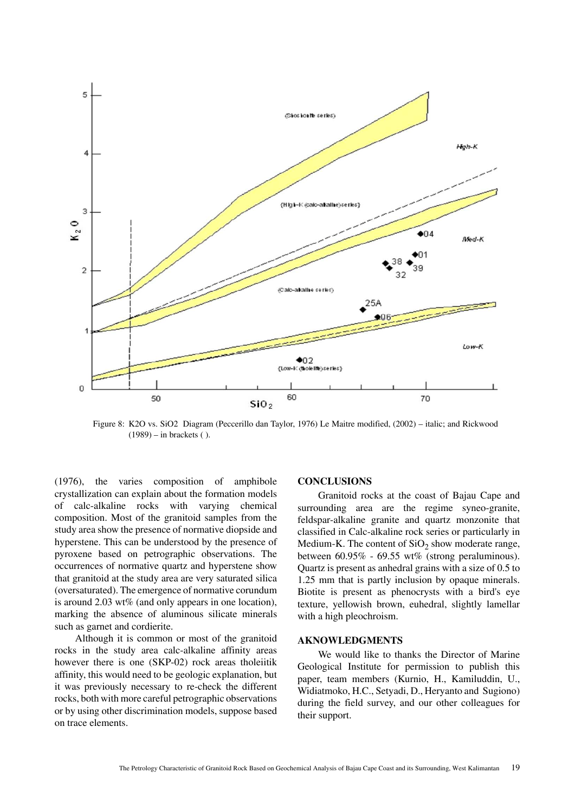

Figure 8: K2O vs. SiO2 Diagram (Peccerillo dan Taylor, 1976) Le Maitre modified, (2002) – italic; and Rickwood (1989) – in brackets ( ).

(1976), the varies composition of amphibole crystallization can explain about the formation models of calc-alkaline rocks with varying chemical composition. Most of the granitoid samples from the study area show the presence of normative diopside and hyperstene. This can be understood by the presence of pyroxene based on petrographic observations. The occurrences of normative quartz and hyperstene show that granitoid at the study area are very saturated silica (oversaturated). The emergence of normative corundum is around 2.03 wt% (and only appears in one location), marking the absence of aluminous silicate minerals such as garnet and cordierite.

Although it is common or most of the granitoid rocks in the study area calc-alkaline affinity areas however there is one (SKP-02) rock areas tholeiitik affinity, this would need to be geologic explanation, but it was previously necessary to re-check the different rocks, both with more careful petrographic observations or by using other discrimination models, suppose based on trace elements.

#### **CONCLUSIONS**

Granitoid rocks at the coast of Bajau Cape and surrounding area are the regime syneo-granite, feldspar-alkaline granite and quartz monzonite that classified in Calc-alkaline rock series or particularly in Medium-K. The content of  $SiO<sub>2</sub>$  show moderate range, between 60.95% - 69.55 wt% (strong peraluminous). Quartz is present as anhedral grains with a size of 0.5 to 1.25 mm that is partly inclusion by opaque minerals. Biotite is present as phenocrysts with a bird's eye texture, yellowish brown, euhedral, slightly lamellar with a high pleochroism.

#### **AKNOWLEDGMENTS**

We would like to thanks the Director of Marine Geological Institute for permission to publish this paper, team members (Kurnio, H., Kamiluddin, U., Widiatmoko, H.C., Setyadi, D., Heryanto and Sugiono) during the field survey, and our other colleagues for their support.